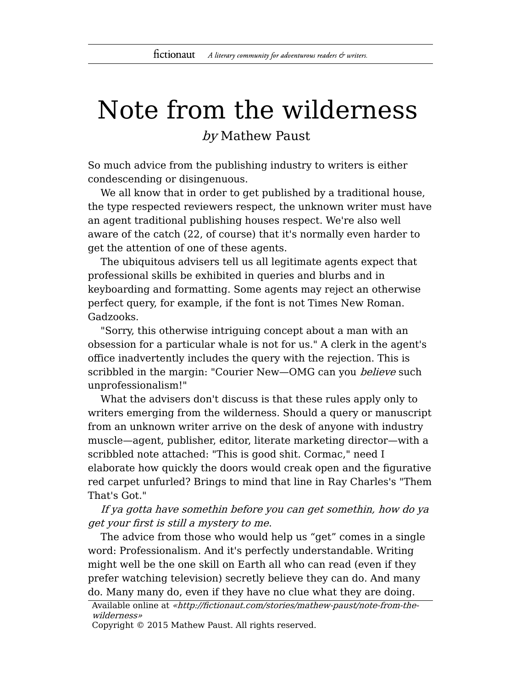## Note from the wilderness

by Mathew Paust

So much advice from the publishing industry to writers is either condescending or disingenuous.

We all know that in order to get published by a traditional house, the type respected reviewers respect, the unknown writer must have an agent traditional publishing houses respect. We're also well aware of the catch (22, of course) that it's normally even harder to get the attention of one of these agents.

The ubiquitous advisers tell us all legitimate agents expect that professional skills be exhibited in queries and blurbs and in keyboarding and formatting. Some agents may reject an otherwise perfect query, for example, if the font is not Times New Roman. Gadzooks.

"Sorry, this otherwise intriguing concept about a man with an obsession for a particular whale is not for us." A clerk in the agent's office inadvertently includes the query with the rejection. This is scribbled in the margin: "Courier New-OMG can you *believe* such unprofessionalism!"

What the advisers don't discuss is that these rules apply only to writers emerging from the wilderness. Should a query or manuscript from an unknown writer arrive on the desk of anyone with industry muscle—agent, publisher, editor, literate marketing director—with a scribbled note attached: "This is good shit. Cormac," need I elaborate how quickly the doors would creak open and the figurative red carpet unfurled? Brings to mind that line in Ray Charles's "Them That's Got."

If ya gotta have somethin before you can get somethin, how do ya get your first is still a mystery to me.

The advice from those who would help us "get" comes in a single word: Professionalism. And it's perfectly understandable. Writing might well be the one skill on Earth all who can read (even if they prefer watching television) secretly believe they can do. And many do. Many many do, even if they have no clue what they are doing.

```
Available online at «http://fictionaut.com/stories/mathew-paust/note-from-the-
wilderness»
```
Copyright © 2015 Mathew Paust. All rights reserved.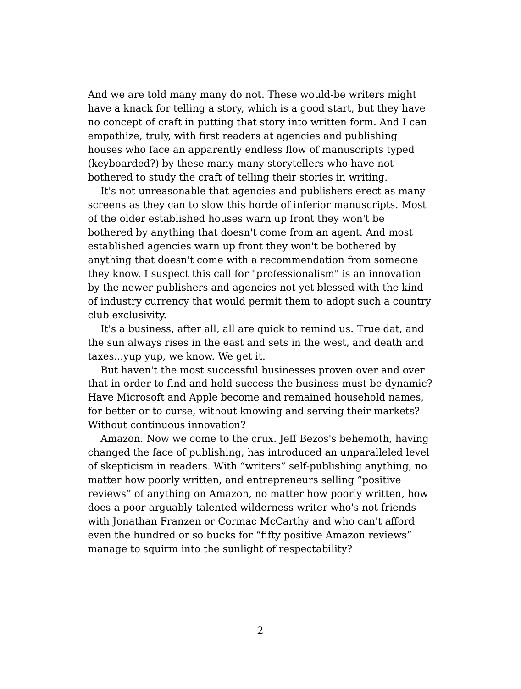And we are told many many do not. These would-be writers might have a knack for telling a story, which is a good start, but they have no concept of craft in putting that story into written form. And I can empathize, truly, with first readers at agencies and publishing houses who face an apparently endless flow of manuscripts typed (keyboarded?) by these many many storytellers who have not bothered to study the craft of telling their stories in writing.

It's not unreasonable that agencies and publishers erect as many screens as they can to slow this horde of inferior manuscripts. Most of the older established houses warn up front they won't be bothered by anything that doesn't come from an agent. And most established agencies warn up front they won't be bothered by anything that doesn't come with a recommendation from someone they know. I suspect this call for "professionalism" is an innovation by the newer publishers and agencies not yet blessed with the kind of industry currency that would permit them to adopt such a country club exclusivity.

It's a business, after all, all are quick to remind us. True dat, and the sun always rises in the east and sets in the west, and death and taxes...yup yup, we know. We get it.

But haven't the most successful businesses proven over and over that in order to find and hold success the business must be dynamic? Have Microsoft and Apple become and remained household names, for better or to curse, without knowing and serving their markets? Without continuous innovation?

Amazon. Now we come to the crux. Jeff Bezos's behemoth, having changed the face of publishing, has introduced an unparalleled level of skepticism in readers. With "writers" self-publishing anything, no matter how poorly written, and entrepreneurs selling "positive reviews" of anything on Amazon, no matter how poorly written, how does a poor arguably talented wilderness writer who's not friends with Jonathan Franzen or Cormac McCarthy and who can't afford even the hundred or so bucks for "fifty positive Amazon reviews" manage to squirm into the sunlight of respectability?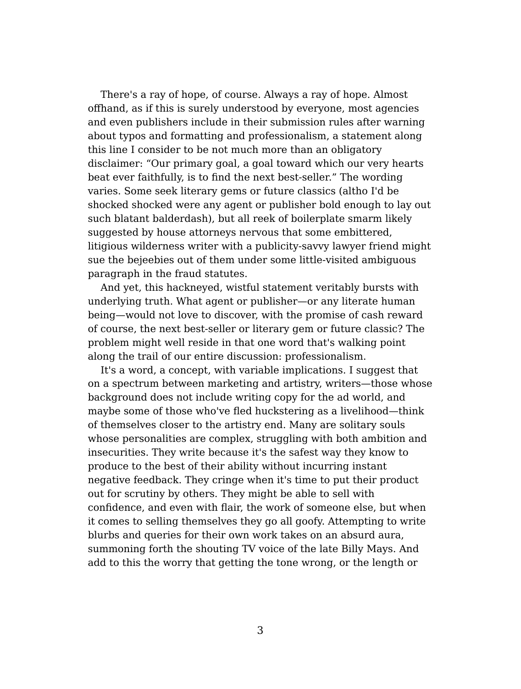There's a ray of hope, of course. Always a ray of hope. Almost offhand, as if this is surely understood by everyone, most agencies and even publishers include in their submission rules after warning about typos and formatting and professionalism, a statement along this line I consider to be not much more than an obligatory disclaimer: "Our primary goal, a goal toward which our very hearts beat ever faithfully, is to find the next best-seller." The wording varies. Some seek literary gems or future classics (altho I'd be shocked shocked were any agent or publisher bold enough to lay out such blatant balderdash), but all reek of boilerplate smarm likely suggested by house attorneys nervous that some embittered, litigious wilderness writer with a publicity-savvy lawyer friend might sue the bejeebies out of them under some little-visited ambiguous paragraph in the fraud statutes.

And yet, this hackneyed, wistful statement veritably bursts with underlying truth. What agent or publisher—or any literate human being—would not love to discover, with the promise of cash reward of course, the next best-seller or literary gem or future classic? The problem might well reside in that one word that's walking point along the trail of our entire discussion: professionalism.

It's a word, a concept, with variable implications. I suggest that on a spectrum between marketing and artistry, writers—those whose background does not include writing copy for the ad world, and maybe some of those who've fled huckstering as a livelihood—think of themselves closer to the artistry end. Many are solitary souls whose personalities are complex, struggling with both ambition and insecurities. They write because it's the safest way they know to produce to the best of their ability without incurring instant negative feedback. They cringe when it's time to put their product out for scrutiny by others. They might be able to sell with confidence, and even with flair, the work of someone else, but when it comes to selling themselves they go all goofy. Attempting to write blurbs and queries for their own work takes on an absurd aura, summoning forth the shouting TV voice of the late Billy Mays. And add to this the worry that getting the tone wrong, or the length or

3